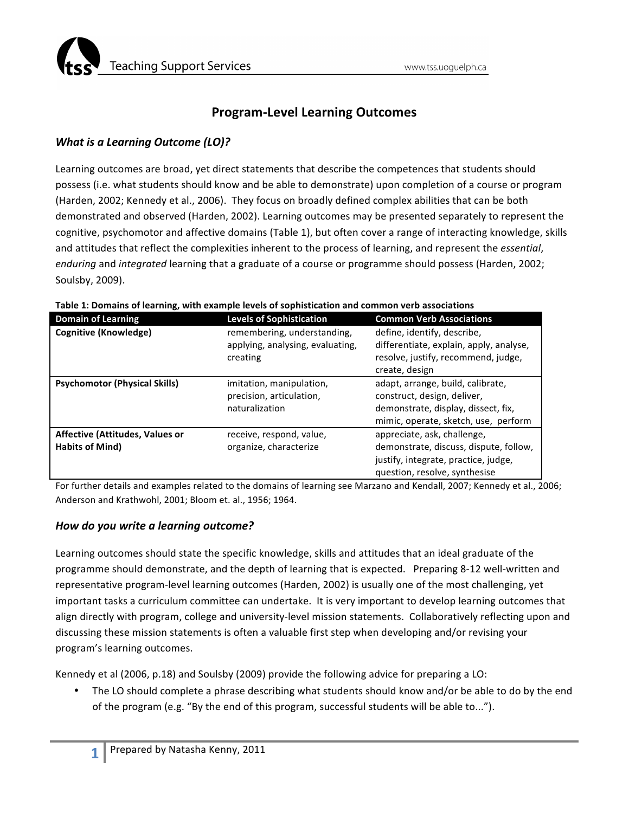

# **Program-Level Learning Outcomes**

## *What is a Learning Outcome (LO)?*

Learning outcomes are broad, yet direct statements that describe the competences that students should possess (i.e. what students should know and be able to demonstrate) upon completion of a course or program (Harden, 2002; Kennedy et al., 2006). They focus on broadly defined complex abilities that can be both demonstrated and observed (Harden, 2002). Learning outcomes may be presented separately to represent the cognitive, psychomotor and affective domains (Table 1), but often cover a range of interacting knowledge, skills and attitudes that reflect the complexities inherent to the process of learning, and represent the *essential*, *enduring* and *integrated* learning that a graduate of a course or programme should possess (Harden, 2002; Soulsby, 2009).

| <b>Domain of Learning</b>                                        | <b>Levels of Sophistication</b>                                             | <b>Common Verb Associations</b>                                                                                                                 |
|------------------------------------------------------------------|-----------------------------------------------------------------------------|-------------------------------------------------------------------------------------------------------------------------------------------------|
| <b>Cognitive (Knowledge)</b>                                     | remembering, understanding,<br>applying, analysing, evaluating,<br>creating | define, identify, describe,<br>differentiate, explain, apply, analyse,<br>resolve, justify, recommend, judge,<br>create, design                 |
| <b>Psychomotor (Physical Skills)</b>                             | imitation, manipulation,<br>precision, articulation,<br>naturalization      | adapt, arrange, build, calibrate,<br>construct, design, deliver,<br>demonstrate, display, dissect, fix,<br>mimic, operate, sketch, use, perform |
| <b>Affective (Attitudes, Values or</b><br><b>Habits of Mind)</b> | receive, respond, value,<br>organize, characterize                          | appreciate, ask, challenge,<br>demonstrate, discuss, dispute, follow,<br>justify, integrate, practice, judge,<br>question, resolve, synthesise  |

#### Table 1: Domains of learning, with example levels of sophistication and common verb associations

For further details and examples related to the domains of learning see Marzano and Kendall, 2007; Kennedy et al., 2006; Anderson and Krathwohl, 2001; Bloom et. al., 1956; 1964.

### *How do you write a learning outcome?*

Learning outcomes should state the specific knowledge, skills and attitudes that an ideal graduate of the programme should demonstrate, and the depth of learning that is expected. Preparing 8-12 well-written and representative program-level learning outcomes (Harden, 2002) is usually one of the most challenging, yet important tasks a curriculum committee can undertake. It is very important to develop learning outcomes that align directly with program, college and university-level mission statements. Collaboratively reflecting upon and discussing these mission statements is often a valuable first step when developing and/or revising your program's learning outcomes.

Kennedy et al (2006, p.18) and Soulsby (2009) provide the following advice for preparing a LO:

The LO should complete a phrase describing what students should know and/or be able to do by the end of the program (e.g. "By the end of this program, successful students will be able to...").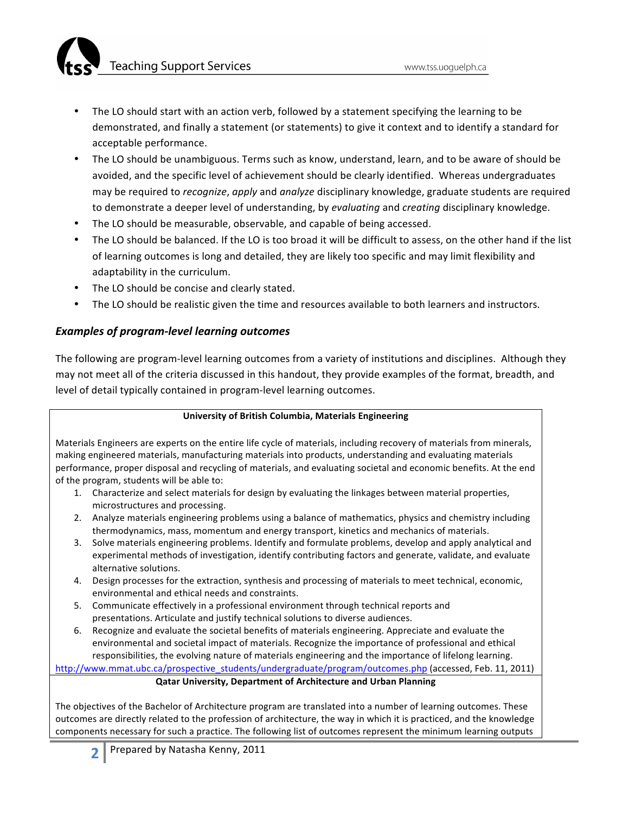**Teaching Support Services** 

- The LO should start with an action verb, followed by a statement specifying the learning to be demonstrated, and finally a statement (or statements) to give it context and to identify a standard for acceptable performance.
- The LO should be unambiguous. Terms such as know, understand, learn, and to be aware of should be avoided, and the specific level of achievement should be clearly identified. Whereas undergraduates may be required to *recognize, apply* and *analyze* disciplinary knowledge, graduate students are required to demonstrate a deeper level of understanding, by *evaluating* and *creating* disciplinary knowledge.
- The LO should be measurable, observable, and capable of being accessed.
- The LO should be balanced. If the LO is too broad it will be difficult to assess, on the other hand if the list of learning outcomes is long and detailed, they are likely too specific and may limit flexibility and adaptability in the curriculum.
- The LO should be concise and clearly stated.
- The LO should be realistic given the time and resources available to both learners and instructors.

# **Examples of program-level learning outcomes**

The following are program-level learning outcomes from a variety of institutions and disciplines. Although they may not meet all of the criteria discussed in this handout, they provide examples of the format, breadth, and level of detail typically contained in program-level learning outcomes.

### **University of British Columbia, Materials Engineering**

Materials Engineers are experts on the entire life cycle of materials, including recovery of materials from minerals, making engineered materials, manufacturing materials into products, understanding and evaluating materials performance, proper disposal and recycling of materials, and evaluating societal and economic benefits. At the end of the program, students will be able to:

- 1. Characterize and select materials for design by evaluating the linkages between material properties, microstructures and processing.
- 2. Analyze materials engineering problems using a balance of mathematics, physics and chemistry including thermodynamics, mass, momentum and energy transport, kinetics and mechanics of materials.
- 3. Solve materials engineering problems. Identify and formulate problems, develop and apply analytical and experimental methods of investigation, identify contributing factors and generate, validate, and evaluate alternative solutions.
- 4. Design processes for the extraction, synthesis and processing of materials to meet technical, economic, environmental and ethical needs and constraints.
- 5. Communicate effectively in a professional environment through technical reports and presentations. Articulate and justify technical solutions to diverse audiences.
- 6. Recognize and evaluate the societal benefits of materials engineering. Appreciate and evaluate the environmental and societal impact of materials. Recognize the importance of professional and ethical responsibilities, the evolving nature of materials engineering and the importance of lifelong learning.

http://www.mmat.ubc.ca/prospective\_students/undergraduate/program/outcomes.php (accessed, Feb. 11, 2011)

### **Qatar University, Department of Architecture and Urban Planning**

The objectives of the Bachelor of Architecture program are translated into a number of learning outcomes. These outcomes are directly related to the profession of architecture, the way in which it is practiced, and the knowledge components necessary for such a practice. The following list of outcomes represent the minimum learning outputs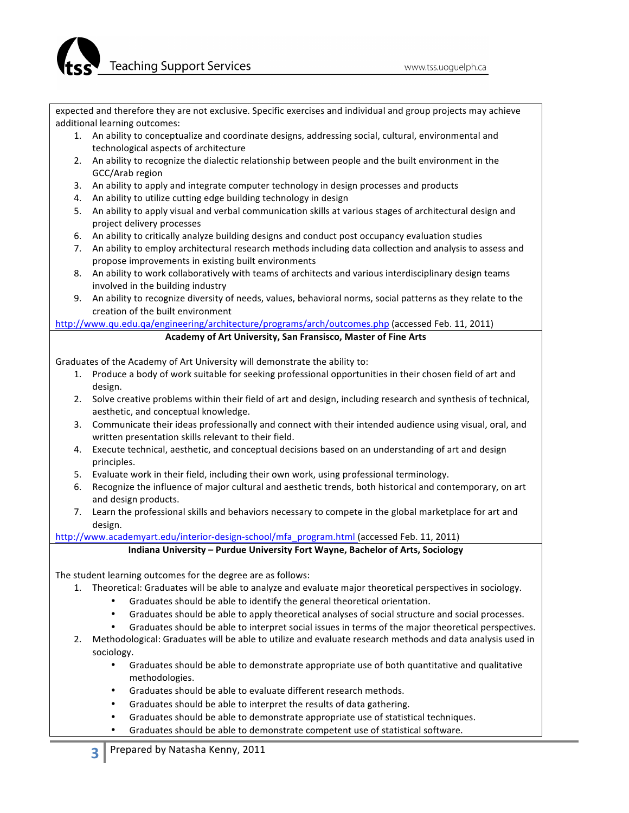expected and therefore they are not exclusive. Specific exercises and individual and group projects may achieve additional learning outcomes:

- 1. An ability to conceptualize and coordinate designs, addressing social, cultural, environmental and technological aspects of architecture
- 2. An ability to recognize the dialectic relationship between people and the built environment in the GCC/Arab region
- 3. An ability to apply and integrate computer technology in design processes and products
- 4. An ability to utilize cutting edge building technology in design
- 5. An ability to apply visual and verbal communication skills at various stages of architectural design and project delivery processes
- 6. An ability to critically analyze building designs and conduct post occupancy evaluation studies
- 7. An ability to employ architectural research methods including data collection and analysis to assess and propose improvements in existing built environments
- 8. An ability to work collaboratively with teams of architects and various interdisciplinary design teams involved in the building industry
- 9. An ability to recognize diversity of needs, values, behavioral norms, social patterns as they relate to the creation of the built environment

http://www.qu.edu.qa/engineering/architecture/programs/arch/outcomes.php (accessed Feb. 11, 2011)

#### Academy of Art University, San Fransisco, Master of Fine Arts

Graduates of the Academy of Art University will demonstrate the ability to:

- 1. Produce a body of work suitable for seeking professional opportunities in their chosen field of art and design.
- 2. Solve creative problems within their field of art and design, including research and synthesis of technical, aesthetic, and conceptual knowledge.
- 3. Communicate their ideas professionally and connect with their intended audience using visual, oral, and written presentation skills relevant to their field.
- 4. Execute technical, aesthetic, and conceptual decisions based on an understanding of art and design principles.
- 5. Evaluate work in their field, including their own work, using professional terminology.
- 6. Recognize the influence of major cultural and aesthetic trends, both historical and contemporary, on art and design products.
- 7. Learn the professional skills and behaviors necessary to compete in the global marketplace for art and design.

http://www.academyart.edu/interior-design-school/mfa\_program.html (accessed Feb. 11, 2011)

### Indiana University – Purdue University Fort Wayne, Bachelor of Arts, Sociology

The student learning outcomes for the degree are as follows:

- 1. Theoretical: Graduates will be able to analyze and evaluate major theoretical perspectives in sociology.
	- Graduates should be able to identify the general theoretical orientation.
	- Graduates should be able to apply theoretical analyses of social structure and social processes.
	- Graduates should be able to interpret social issues in terms of the major theoretical perspectives.
- 2. Methodological: Graduates will be able to utilize and evaluate research methods and data analysis used in sociology.
	- Graduates should be able to demonstrate appropriate use of both quantitative and qualitative methodologies.
	- Graduates should be able to evaluate different research methods.
	- Graduates should be able to interpret the results of data gathering.
	- Graduates should be able to demonstrate appropriate use of statistical techniques.
	- Graduates should be able to demonstrate competent use of statistical software.